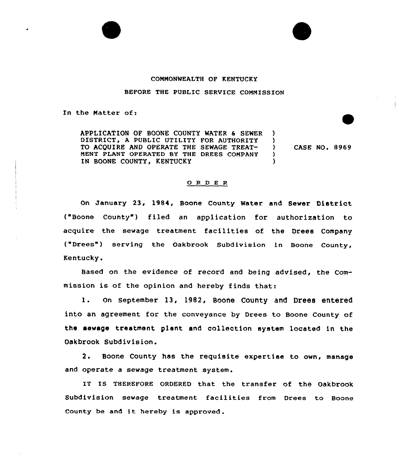## COMMONWEALTH OF KENTUCKY

## BEFORE THE PUBLIC SERVICE COMMISSION

In the Natter of:

APPLICATION OF BOONE COUNTY WATER & SEWER DISTRICT, A PUBLIC UTILITY FOR AUTHORITY )<br>TO ACOUIRE AND OPERATE THE SEWAGE TREAT-TO ACQUIRE AND OPERATE THE SEWAGE TREAT- )<br>MENT PLANT OPERATED BY THE DREES COMPANY ) MENT PLANT OPERATED BY THE DREES COMPANY IN BOONE COUNTY, KENTUCKY CASE NO. 8969

## 0 <sup>R</sup> <sup>D</sup> E R

On January 23, 1984, Boone County Water and Sewer District ("Boone County ) filed an application for authorization to acquire the sewage treatment facilities of the Drees Company ("Drees") serving the Oakbrook Subdivision in Boone County, Kentucky.

Based on the evidence of record and being advised, the Commission is of the opinion and hereby finds that:

1. On September 13, 1982, Boone County and Drees entered into an agreement for the conveyance by Drees to Boone County of the sewage treatment plant and collection system located in the Oakbrook Subdivision.

2. Boone County has the requisite expertise to own, manage and operate a sewage treatment system.

IT IS THEREFORE ORDERED that the transfer of the Oakbrook Subdivision sewage treatment facilities from Drees to Boone County be and it hereby is approved .